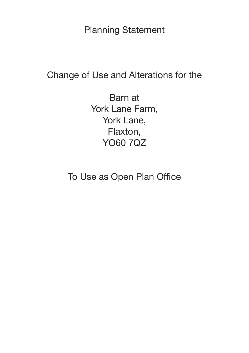**Planning Statement** 

Change of Use and Alterations for the

Barn at York Lane Farm, York Lane, Flaxton, **YO60 7QZ** 

To Use as Open Plan Office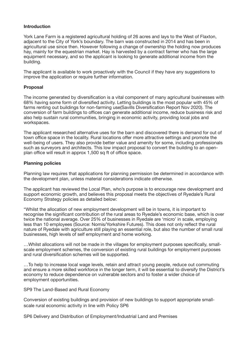# **Introduction**

York Lane Farm is a registered agricultural holding of 26 acres and lays to the West of Flaxton, adjacent to the City of York's boundary. The barn was constructed in 2014 and has been in agricultural use since then. However following a change of ownership the holding now produces hay, mainly for the equestrian market. Hay is harvested by a contract farmer who has the large equipment necessary, and so the applicant is looking to generate additional income from the building.

The applicant is available to work proactively with the Council if they have any suggestions to improve the application or require further information.

### **Proposal**

The income generated by diversification is a vital component of many agricultural businesses with 68% having some form of diversified activity. Letting buildings is the most popular with 45% of farms renting out buildings for non-farming use(Savills Diversification Report Nov 2020). The conversion of farm buildings to offices can generate additional income, reduce business risk and also help sustain rural communities, bringing in economic activity, providing local jobs and workspaces.

The applicant researched alternative uses for the barn and discovered there is demand for out of town office space in the locality. Rural locations offer more attractive settings and promote the well-being of users. They also provide better value and amenity for some, including professionals such as surveyors and architects. This low impact proposal to convert the building to an openplan office will result in approx 1,500 sq ft of office space.

### **Planning policies**

Planning law requires that applications for planning permission be determined in accordance with the development plan, unless material considerations indicate otherwise.

The applicant has reviewed the Local Plan, who's purpose is to encourage new development and support economic growth, and believes this proposal meets the objectives of Ryedale's Rural Economy Strategy policies as detailed below:

"Whilst the allocation of new employment development will be in towns, it is important to recognise the significant contribution of the rural areas to Ryedale's economic base, which is over twice the national average. Over 25% of businesses in Ryedale are 'micro' in scale, employing less than 10 employees (Source: Nomis/Yorkshire Futures). This does not only reflect the rural nature of Ryedale with agriculture still playing an essential role, but also the number of small rural businesses, high levels of self employment and home working.

…Whilst allocations will not be made in the villages for employment purposes specifically, smallscale employment schemes, the conversion of existing rural buildings for employment purposes and rural diversification schemes will be supported.

…To help to increase local wage levels, retain and attract young people, reduce out commuting and ensure a more skilled workforce in the longer term, it will be essential to diversify the District's economy to reduce dependence on vulnerable sectors and to foster a wider choice of employment opportunities.

SP9 The Land-Based and Rural Economy

Conversion of existing buildings and provision of new buildings to support appropriate smallscale rural economic activity in line with Policy SP6

SP6 Delivery and Distribution of Employment/Industrial Land and Premises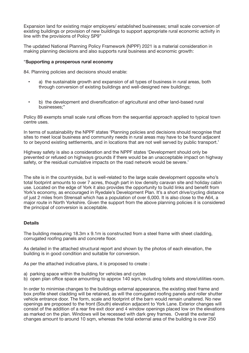Expansion land for existing major employers/ established businesses; small scale conversion of existing buildings or provision of new buildings to support appropriate rural economic activity in line with the provisions of Policy SP9"

The updated National Planning Policy Framework (NPPF) 2021 is a material consideration in making planning decisions and also supports rural business and economic growth:

### "**Supporting a prosperous rural economy**

84. Planning policies and decisions should enable:

- a) the sustainable growth and expansion of all types of business in rural areas, both through conversion of existing buildings and well-designed new buildings;
- b) the development and diversification of agricultural and other land-based rural businesses;"

Policy 89 exempts small scale rural offices from the sequential approach applied to typical town centre uses.

In terms of sustainability the NPPF states 'Planning policies and decisions should recognise that sites to meet local business and community needs in rural areas may have to be found adjacent to or beyond existing settlements, and in locations that are not well served by public transport.'

Highway safety is also a consideration and the NPPF states 'Development should only be prevented or refused on highways grounds if there would be an unacceptable impact on highway safety, or the residual cumulative impacts on the road network would be severe.'

The site is in the countryside, but is well-related to the large scale development opposite who's total footprint amounts to over 7 acres, though part in low density caravan site and holiday cabin use. Located on the edge of York it also provides the opportunity to build links and benefit from York's economy, as encouraged in Ryedale's Development Plan. It's a short drive/cycling distance of just 2 miles from Strensall which has a population of over 6,000. It is also close to the A64, a major route in North Yorkshire. Given the support from the above planning policies it is considered the principal of conversion is acceptable.

# **Details**

The building measuring 18.3m x 9.1m is constructed from a steel frame with sheet cladding, corrugated roofing panels and concrete floor.

As detailed in the attached structural report and shown by the photos of each elevation, the building is in good condition and suitable for conversion.

As per the attached indicative plans, it is proposed to create :

- a) parking space within the building for vehicles and cycles
- b) open plan office space amounting to approx 140 sqm, including toilets and store/utilities room.

In order to minimise changes to the buildings external appearance, the existing steel frame and box profile sheet cladding will be retained, as will the corrugated roofing panels and roller shutter vehicle entrance door. The form, scale and footprint of the barn would remain unaltered. No new openings are proposed to the front (South) elevation adjacent to York Lane. Exterior changes will consist of the addition of a rear fire exit door and 4 window openings placed low on the elevations as marked on the plan. Windows will be recessed with dark grey frames. Overall the external changes amount to around 10 sqm, whereas the total external area of the building is over 250